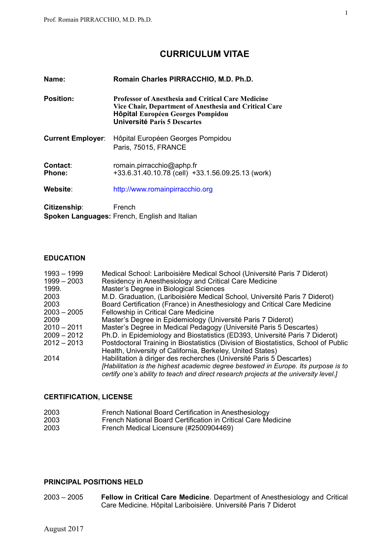## **CURRICULUM VITAE**

| Name:                     | Romain Charles PIRRACCHIO, M.D. Ph.D.                                                                                                                                                    |  |
|---------------------------|------------------------------------------------------------------------------------------------------------------------------------------------------------------------------------------|--|
| <b>Position:</b>          | <b>Professor of Anesthesia and Critical Care Medicine</b><br>Vice Chair, Department of Anesthesia and Critical Care<br>Hôpital Européen Georges Pompidou<br>Université Paris 5 Descartes |  |
| <b>Current Employer:</b>  | Hôpital Européen Georges Pompidou<br>Paris, 75015, FRANCE                                                                                                                                |  |
| Contact:<br><b>Phone:</b> | romain.pirracchio@aphp.fr<br>+33.6.31.40.10.78 (cell) +33.1.56.09.25.13 (work)                                                                                                           |  |
| Website:                  | http://www.romainpirracchio.org                                                                                                                                                          |  |
| Citizenship:              | French                                                                                                                                                                                   |  |

# **Spoken Languages:** French, English and Italian

## **EDUCATION**

| $1993 - 1999$<br>$1999 - 2003$<br>1999. | Medical School: Lariboisière Medical School (Université Paris 7 Diderot)<br>Residency in Anesthesiology and Critical Care Medicine<br>Master's Degree in Biological Sciences                                                                        |
|-----------------------------------------|-----------------------------------------------------------------------------------------------------------------------------------------------------------------------------------------------------------------------------------------------------|
| 2003                                    | M.D. Graduation, (Lariboisière Medical School, Université Paris 7 Diderot)                                                                                                                                                                          |
| 2003                                    | Board Certification (France) in Anesthesiology and Critical Care Medicine                                                                                                                                                                           |
| $2003 - 2005$                           | Fellowship in Critical Care Medicine                                                                                                                                                                                                                |
| 2009                                    | Master's Degree in Epidemiology (Université Paris 7 Diderot)                                                                                                                                                                                        |
| $2010 - 2011$                           | Master's Degree in Medical Pedagogy (Université Paris 5 Descartes)                                                                                                                                                                                  |
| $2009 - 2012$                           | Ph.D. in Epidemiology and Biostatistics (ED393, Université Paris 7 Diderot)                                                                                                                                                                         |
| $2012 - 2013$                           | Postdoctoral Training in Biostatistics (Division of Biostatistics, School of Public                                                                                                                                                                 |
|                                         | Health, University of California, Berkeley, United States)                                                                                                                                                                                          |
| 2014                                    | Habilitation à diriger des recherches (Université Paris 5 Descartes)<br>[Habilitation is the highest academic degree bestowed in Europe. Its purpose is to<br>certify one's ability to teach and direct research projects at the university level.] |

## **CERTIFICATION, LICENSE**

| 2003 | French National Board Certification in Anesthesiology         |
|------|---------------------------------------------------------------|
| 2003 | French National Board Certification in Critical Care Medicine |
| 2003 | French Medical Licensure (#2500904469)                        |

## **PRINCIPAL POSITIONS HELD**

2003 – 2005 **Fellow in Critical Care Medicine**. Department of Anesthesiology and Critical Care Medicine. Hôpital Lariboisière. Université Paris 7 Diderot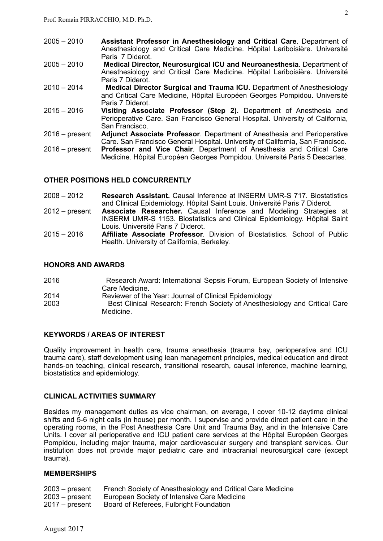| $2005 - 2010$    | Assistant Professor in Anesthesiology and Critical Care. Department of<br>Anesthesiology and Critical Care Medicine. Hôpital Lariboisière. Université |
|------------------|-------------------------------------------------------------------------------------------------------------------------------------------------------|
|                  | Paris 7 Diderot.                                                                                                                                      |
| $2005 - 2010$    | Medical Director, Neurosurgical ICU and Neuroanesthesia. Department of                                                                                |
|                  | Anesthesiology and Critical Care Medicine. Hôpital Lariboisière. Université                                                                           |
|                  | Paris 7 Diderot.                                                                                                                                      |
| $2010 - 2014$    | <b>Medical Director Surgical and Trauma ICU.</b> Department of Anesthesiology                                                                         |
|                  | and Critical Care Medicine, Hôpital Européen Georges Pompidou. Université                                                                             |
|                  | Paris 7 Diderot.                                                                                                                                      |
| $2015 - 2016$    | Visiting Associate Professor (Step 2). Department of Anesthesia and                                                                                   |
|                  | Perioperative Care. San Francisco General Hospital. University of California,                                                                         |
|                  | San Francisco.                                                                                                                                        |
| $2016$ – present | <b>Adjunct Associate Professor.</b> Department of Anesthesia and Perioperative                                                                        |
|                  | Care. San Francisco General Hospital. University of California, San Francisco.                                                                        |
| $2016$ – present | Professor and Vice Chair. Department of Anesthesia and Critical Care                                                                                  |
|                  | Medicine. Hôpital Européen Georges Pompidou. Université Paris 5 Descartes.                                                                            |

#### **OTHER POSITIONS HELD CONCURRENTLY**

- 2008 2012 **Research Assistant.** Causal Inference at INSERM UMR-S 717. Biostatistics and Clinical Epidemiology. Hôpital Saint Louis. Université Paris 7 Diderot.
- 2012 present **Associate Researcher.** Causal Inference and Modeling Strategies at INSERM UMR-S 1153. Biostatistics and Clinical Epidemiology. Hôpital Saint Louis. Université Paris 7 Diderot.
- 2015 2016 **Affiliate Associate Professor**. Division of Biostatistics. School of Public Health. University of California, Berkeley.

#### **HONORS AND AWARDS**

- 2016 Research Award: International Sepsis Forum, European Society of Intensive Care Medicine. 2014 Reviewer of the Year: Journal of Clinical Epidemiology
- 2003 Best Clinical Research: French Society of Anesthesiology and Critical Care Medicine.

## **KEYWORDS / AREAS OF INTEREST**

Quality improvement in health care, trauma anesthesia (trauma bay, perioperative and ICU trauma care), staff development using lean management principles, medical education and direct hands-on teaching, clinical research, transitional research, causal inference, machine learning, biostatistics and epidemiology.

## **CLINICAL ACTIVITIES SUMMARY**

Besides my management duties as vice chairman, on average, I cover 10-12 daytime clinical shifts and 5-6 night calls (in house) per month. I supervise and provide direct patient care in the operating rooms, in the Post Anesthesia Care Unit and Trauma Bay, and in the Intensive Care Units. I cover all perioperative and ICU patient care services at the Hôpital Européen Georges Pompidou, including major trauma, major cardiovascular surgery and transplant services. Our institution does not provide major pediatric care and intracranial neurosurgical care (except trauma).

#### **MEMBERSHIPS**

- 2003 present French Society of Anesthesiology and Critical Care Medicine<br>2003 present European Society of Intensive Care Medicine
- 2003 present European Society of Intensive Care Medicine<br>2017 present Board of Referees, Fulbright Foundation
- Board of Referees, Fulbright Foundation

 $\mathcal{L}$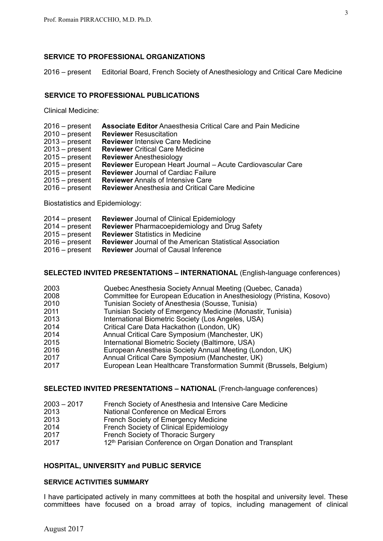## **SERVICE TO PROFESSIONAL ORGANIZATIONS**

2016 – present Editorial Board, French Society of Anesthesiology and Critical Care Medicine

## **SERVICE TO PROFESSIONAL PUBLICATIONS**

Clinical Medicine:

| $2016$ – present | <b>Associate Editor Anaesthesia Critical Care and Pain Medicine</b> |
|------------------|---------------------------------------------------------------------|
| $2010 - present$ | <b>Reviewer Resuscitation</b>                                       |
| $2013 - present$ | <b>Reviewer Intensive Care Medicine</b>                             |
| $2013$ – present | <b>Reviewer</b> Critical Care Medicine                              |
| $2015 - present$ | <b>Reviewer</b> Anesthesiology                                      |
| $2015 - present$ | <b>Reviewer</b> European Heart Journal – Acute Cardiovascular Care  |
| $2015 - present$ | <b>Reviewer</b> Journal of Cardiac Failure                          |
| $2015 - present$ | <b>Reviewer Annals of Intensive Care</b>                            |
| $2016$ – present | <b>Reviewer</b> Anesthesia and Critical Care Medicine               |

Biostatistics and Epidemiology:

| $2014 - present$ | <b>Reviewer</b> Journal of Clinical Epidemiology                |
|------------------|-----------------------------------------------------------------|
| $2014 - present$ | <b>Reviewer</b> Pharmacoepidemiology and Drug Safety            |
| $2015 - present$ | <b>Reviewer Statistics in Medicine</b>                          |
| $2016$ – present | <b>Reviewer</b> Journal of the American Statistical Association |
| $2016$ – present | <b>Reviewer</b> Journal of Causal Inference                     |

## **SELECTED INVITED PRESENTATIONS – INTERNATIONAL** (English-language conferences)

| 2003 | Quebec Anesthesia Society Annual Meeting (Quebec, Canada)             |
|------|-----------------------------------------------------------------------|
| 2008 | Committee for European Education in Anesthesiology (Pristina, Kosovo) |
| 2010 | Tunisian Society of Anesthesia (Sousse, Tunisia)                      |
| 2011 | Tunisian Society of Emergency Medicine (Monastir, Tunisia)            |
| 2013 | International Biometric Society (Los Angeles, USA)                    |
| 2014 | Critical Care Data Hackathon (London, UK)                             |
| 2014 | Annual Critical Care Symposium (Manchester, UK)                       |
| 2015 | International Biometric Society (Baltimore, USA)                      |
| 2016 | European Anesthesia Society Annual Meeting (London, UK)               |
| 2017 | Annual Critical Care Symposium (Manchester, UK)                       |
| 2017 | European Lean Healthcare Transformation Summit (Brussels, Belgium)    |

## **SELECTED INVITED PRESENTATIONS – NATIONAL** (French-language conferences)

| $2003 - 2017$ | French Society of Anesthesia and Intensive Care Medicine |  |  |
|---------------|----------------------------------------------------------|--|--|
|               |                                                          |  |  |

- 2013 National Conference on Medical Errors
- 2013 French Society of Emergency Medicine
- 2014 French Society of Clinical Epidemiology
- 2017 French Society of Thoracic Surgery
- 2017 12<sup>th</sup> Parisian Conference on Organ Donation and Transplant

## **HOSPITAL, UNIVERSITY and PUBLIC SERVICE**

## **SERVICE ACTIVITIES SUMMARY**

I have participated actively in many committees at both the hospital and university level. These committees have focused on a broad array of topics, including management of clinical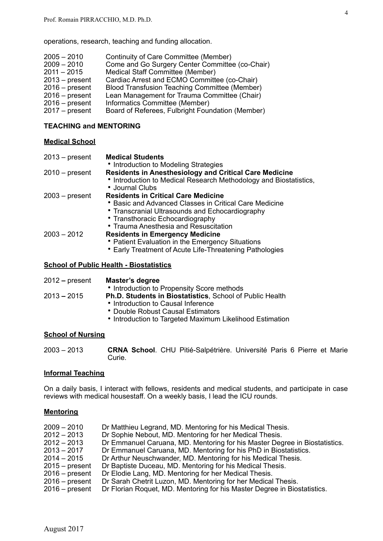operations, research, teaching and funding allocation.

| $2005 - 2010$    | Continuity of Care Committee (Member)            |
|------------------|--------------------------------------------------|
| $2009 - 2010$    | Come and Go Surgery Center Committee (co-Chair)  |
| $2011 - 2015$    | Medical Staff Committee (Member)                 |
| $2013$ – present | Cardiac Arrest and ECMO Committee (co-Chair)     |
| $2016$ – present | Blood Transfusion Teaching Committee (Member)    |
| $2016$ – present | Lean Management for Trauma Committee (Chair)     |
| $2016$ – present | Informatics Committee (Member)                   |
| $2017 - present$ | Board of Referees, Fulbright Foundation (Member) |

#### **TEACHING and MENTORING**

#### **Medical School**

| 2013 – present | <b>Medical Students</b>                                                                                                                                                                                                              |
|----------------|--------------------------------------------------------------------------------------------------------------------------------------------------------------------------------------------------------------------------------------|
|                | • Introduction to Modeling Strategies                                                                                                                                                                                                |
| 2010 – present | <b>Residents in Anesthesiology and Critical Care Medicine</b><br>• Introduction to Medical Research Methodology and Biostatistics,<br>• Journal Clubs                                                                                |
| 2003 – present | <b>Residents in Critical Care Medicine</b><br>• Basic and Advanced Classes in Critical Care Medicine<br>• Transcranial Ultrasounds and Echocardiography<br>• Transthoracic Echocardiography<br>• Trauma Anesthesia and Resuscitation |
| 2003 – 2012    | <b>Residents in Emergency Medicine</b><br>• Patient Evaluation in the Emergency Situations<br>• Early Treatment of Acute Life-Threatening Pathologies                                                                                |

#### **School of Public Health - Biostatistics**

| 2012 – present         | Master's degree                                                 |
|------------------------|-----------------------------------------------------------------|
|                        | • Introduction to Propensity Score methods                      |
| 2013 <del>–</del> 2015 | <b>Ph.D. Students in Biostatistics, School of Public Health</b> |
|                        | • Introduction to Causal Inference                              |
|                        | • Double Robust Causal Estimators                               |
|                        | • Introduction to Targeted Maximum Likelihood Estimation        |

#### **School of Nursing**

2003 – 2013 **CRNA School**. CHU Pitié-Salpétrière. Université Paris 6 Pierre et Marie Curie.

## **Informal Teaching**

On a daily basis, I interact with fellows, residents and medical students, and participate in case reviews with medical housestaff. On a weekly basis, I lead the ICU rounds.

#### **Mentoring**

| $2009 - 2010$    | Dr Matthieu Legrand, MD. Mentoring for his Medical Thesis.                 |
|------------------|----------------------------------------------------------------------------|
| 2012 - 2013      | Dr Sophie Nebout, MD. Mentoring for her Medical Thesis.                    |
| 2012 - 2013      | Dr Emmanuel Caruana, MD. Mentoring for his Master Degree in Biostatistics. |
| $2013 - 2017$    | Dr Emmanuel Caruana, MD. Mentoring for his PhD in Biostatistics.           |
| $2014 - 2015$    | Dr Arthur Neuschwander, MD. Mentoring for his Medical Thesis.              |
| $2015 - present$ | Dr Baptiste Duceau, MD. Mentoring for his Medical Thesis.                  |
| $2016 - present$ | Dr Elodie Lang, MD. Mentoring for her Medical Thesis.                      |
| $2016 - present$ | Dr Sarah Chetrit Luzon, MD. Mentoring for her Medical Thesis.              |
| $2016 - present$ | Dr Florian Roquet, MD. Mentoring for his Master Degree in Biostatistics.   |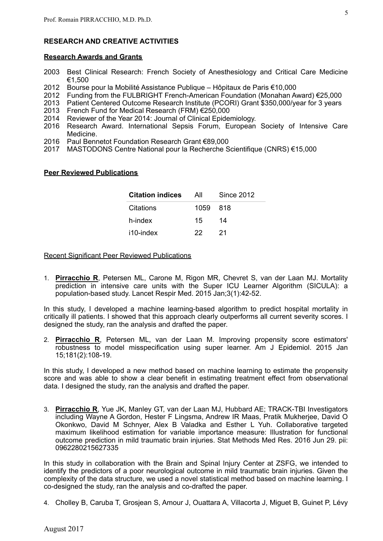## **RESEARCH AND CREATIVE ACTIVITIES**

#### **Research Awards and Grants**

- 2003 Best Clinical Research: French Society of Anesthesiology and Critical Care Medicine €1,500
- 2012 Bourse pour la Mobilité Assistance Publique Hôpitaux de Paris €10,000
- 2012 Funding from the FULBRIGHT French-American Foundation (Monahan Award) €25,000
- 2013 Patient Centered Outcome Research Institute (PCORI) Grant \$350,000/year for 3 years
- 2013 French Fund for Medical Research (FRM) €250,000
- 2014 Reviewer of the Year 2014: Journal of Clinical Epidemiology.
- 2016 Research Award. International Sepsis Forum, European Society of Intensive Care Medicine.
- 2016 Paul Bennetot Foundation Research Grant €89,000
- 2017 MASTODONS Centre National pour la Recherche Scientifique (CNRS) €15,000

#### **Peer Reviewed Publications**

| <b>Citation indices</b> | All      | <b>Since 2012</b> |
|-------------------------|----------|-------------------|
| Citations               | 1059 818 |                   |
| h-index                 | 15       | 14                |
| i10-index               | 22.      | -21               |

Recent Significant Peer Reviewed Publications

1. **Pirracchio R**, Petersen ML, Carone M, Rigon MR, Chevret S, van der Laan MJ. Mortality prediction in intensive care units with the Super ICU Learner Algorithm (SICULA): a population-based study. Lancet Respir Med. 2015 Jan;3(1):42-52.

In this study, I developed a machine learning-based algorithm to predict hospital mortality in critically ill patients. I showed that this approach clearly outperforms all current severity scores. I designed the study, ran the analysis and drafted the paper.

2. **Pirracchio R**, Petersen ML, van der Laan M. Improving propensity score estimators' robustness to model misspecification using super learner. Am J Epidemiol. 2015 Jan 15;181(2):108-19.

In this study, I developed a new method based on machine learning to estimate the propensity score and was able to show a clear benefit in estimating treatment effect from observational data. I designed the study, ran the analysis and drafted the paper.

3. **Pirracchio R**, Yue JK, Manley GT, van der Laan MJ, Hubbard AE; TRACK-TBI Investigators including Wayne A Gordon, Hester F Lingsma, Andrew IR Maas, Pratik Mukherjee, David O Okonkwo, David M Schnyer, Alex B Valadka and Esther L Yuh. Collaborative targeted maximum likelihood estimation for variable importance measure: Illustration for functional outcome prediction in mild traumatic brain injuries. Stat Methods Med Res. 2016 Jun 29. pii: 0962280215627335

In this study in collaboration with the Brain and Spinal Injury Center at ZSFG, we intended to identify the predictors of a poor neurological outcome in mild traumatic brain injuries. Given the complexity of the data structure, we used a novel statistical method based on machine learning. I co-designed the study, ran the analysis and co-drafted the paper.

4. Cholley B, Caruba T, Grosjean S, Amour J, Ouattara A, Villacorta J, Miguet B, Guinet P, Lévy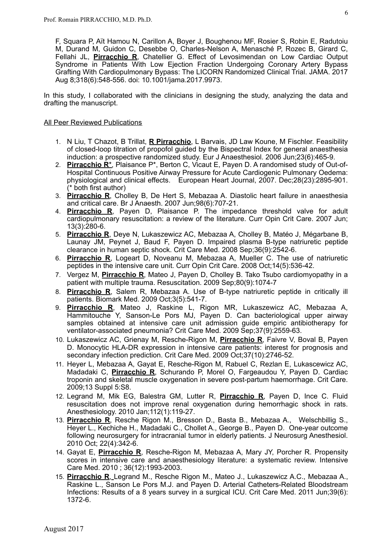F, Squara P, Aït Hamou N, Carillon A, Boyer J, Boughenou MF, Rosier S, Robin E, Radutoiu M, Durand M, Guidon C, Desebbe O, Charles-Nelson A, Menasché P, Rozec B, Girard C, Fellahi JL, **Pirracchio R**, Chatellier G. Effect of Levosimendan on Low Cardiac Output Syndrome in Patients With Low Ejection Fraction Undergoing Coronary Artery Bypass Grafting With Cardiopulmonary Bypass: The LICORN Randomized Clinical Trial. JAMA. 2017 Aug 8;318(6):548-556. doi: 10.1001/jama.2017.9973.

In this study, I collaborated with the clinicians in designing the study, analyzing the data and drafting the manuscript.

#### All Peer Reviewed Publications

- 1. N Liu, T Chazot, B Trillat, **R Pirracchio**, L Barvais, JD Law Koune, M Fischler. Feasibility of closed-loop titration of propofol guided by the Bispectral Index for general anaesthesia induction: a prospective randomized study. Eur J Anaesthesiol. 2006 Jun;23(6):465-9.
- 2. **Pirracchio R**\*, Plaisance P\*, Berton C, Vicaut E, Payen D. A randomised study of Out-of-Hospital Continuous Positive Airway Pressure for Acute Cardiogenic Pulmonary Oedema: physiological and clinical effects. European Heart Journal, 2007. Dec;28(23):2895-901. (\* both first author)
- 3. **Pirracchio R**, Cholley B, De Hert S, Mebazaa A. Diastolic heart failure in anaesthesia and critical care. Br J Anaesth. 2007 Jun;98(6):707-21.
- 4. **Pirracchio R**, Payen D, Plaisance P. The impedance threshold valve for adult cardiopulmonary resuscitation: a review of the literature. Curr Opin Crit Care. 2007 Jun; 13(3):280-6.
- 5. **Pirracchio R**, Deye N, Lukaszewicz AC, Mebazaa A, Cholley B, Matéo J, Mégarbane B, Launay JM, Peynet J, Baud F, Payen D. [Impaired plasma B-type natriuretic peptide](http://www.ncbi.nlm.nih.gov/pubmed/18679125?itool=EntrezSystem2.PEntrez.Pubmed.Pubmed_ResultsPanel.Pubmed_RVDocSum&ordinalpos=5) [clearance in human septic shock.](http://www.ncbi.nlm.nih.gov/pubmed/18679125?itool=EntrezSystem2.PEntrez.Pubmed.Pubmed_ResultsPanel.Pubmed_RVDocSum&ordinalpos=5) Crit Care Med. 2008 Sep;36(9):2542-6.
- 6. **Pirracchio R**, Logeart D, Noveanu M, Mebazaa A, Mueller C. [The use of natriuretic](http://www.ncbi.nlm.nih.gov/pubmed/18787446?itool=EntrezSystem2.PEntrez.Pubmed.Pubmed_ResultsPanel.Pubmed_RVDocSum&ordinalpos=4)  [peptides in the intensive care unit.](http://www.ncbi.nlm.nih.gov/pubmed/18787446?itool=EntrezSystem2.PEntrez.Pubmed.Pubmed_ResultsPanel.Pubmed_RVDocSum&ordinalpos=4) Curr Opin Crit Care. 2008 Oct;14(5):536-42.
- 7. Vergez M, **Pirracchio R**, Mateo J, Payen D, Cholley B. [Tako Tsubo cardiomyopathy in a](http://www.ncbi.nlm.nih.gov/pubmed/19581037?itool=EntrezSystem2.PEntrez.Pubmed.Pubmed_ResultsPanel.Pubmed_RVDocSum&ordinalpos=3)  [patient with multiple trauma.](http://www.ncbi.nlm.nih.gov/pubmed/19581037?itool=EntrezSystem2.PEntrez.Pubmed.Pubmed_ResultsPanel.Pubmed_RVDocSum&ordinalpos=3) Resuscitation. 2009 Sep;80(9):1074-7
- 8. **Pirracchio R**, Salem R, Mebazaa A. [Use of B-type natriuretic peptide in critically ill](http://www.ncbi.nlm.nih.gov/pubmed/20477521)  [patients.](http://www.ncbi.nlm.nih.gov/pubmed/20477521) Biomark Med. 2009 Oct;3(5):541-7.
- 9. **Pirracchio R**, Mateo J, Raskine L, Rigon MR, Lukaszewicz AC, Mebazaa A, Hammitouche Y, Sanson-Le Pors MJ, Payen D. [Can bacteriological upper airway](http://www.ncbi.nlm.nih.gov/pubmed/19623054?itool=EntrezSystem2.PEntrez.Pubmed.Pubmed_ResultsPanel.Pubmed_RVDocSum&ordinalpos=2)  [samples obtained at intensive care unit admission guide empiric antibiotherapy for](http://www.ncbi.nlm.nih.gov/pubmed/19623054?itool=EntrezSystem2.PEntrez.Pubmed.Pubmed_ResultsPanel.Pubmed_RVDocSum&ordinalpos=2)  [ventilator-associated pneumonia?](http://www.ncbi.nlm.nih.gov/pubmed/19623054?itool=EntrezSystem2.PEntrez.Pubmed.Pubmed_ResultsPanel.Pubmed_RVDocSum&ordinalpos=2) Crit Care Med. 2009 Sep;37(9):2559-63.
- 10. Lukaszewicz AC, Grienay M, Resche-Rigon M, **Pirracchio R**, Faivre V, Boval B, Payen D. [Monocytic HLA-DR expression in intensive care patients: interest for prognosis and](http://www.ncbi.nlm.nih.gov/pubmed/19707128?itool=EntrezSystem2.PEntrez.Pubmed.Pubmed_ResultsPanel.Pubmed_RVDocSum&ordinalpos=1)  [secondary infection prediction. Crit Care Med. 2009 Oct;37\(10\):2746-52.](http://www.ncbi.nlm.nih.gov/pubmed/19707128?itool=EntrezSystem2.PEntrez.Pubmed.Pubmed_ResultsPanel.Pubmed_RVDocSum&ordinalpos=1)
- 11. Heyer L, Mebazaa A, Gayat E, Resche-Rigon M, Rabuel C, Rezlan E, Lukascewicz AC, Madadaki C, **Pirracchio R**, Schurando P, Morel O, Fargeaudou Y, Payen D. [Cardiac](http://www.ncbi.nlm.nih.gov/pubmed/19951392?itool=EntrezSystem2.PEntrez.Pubmed.Pubmed_ResultsPanel.Pubmed_RVDocSum&ordinalpos=1)  [troponin and skeletal muscle oxygenation in severe post-partum haemorrhage.](http://www.ncbi.nlm.nih.gov/pubmed/19951392?itool=EntrezSystem2.PEntrez.Pubmed.Pubmed_ResultsPanel.Pubmed_RVDocSum&ordinalpos=1) Crit Care. 2009;13 Suppl 5:S8.
- 12. Legrand M, Mik EG, Balestra GM, Lutter R, **Pirracchio R**, Payen D, Ince C. [Fluid](http://www.ncbi.nlm.nih.gov/pubmed/19996951?itool=EntrezSystem2.PEntrez.Pubmed.Pubmed_ResultsPanel.Pubmed_RVDocSum&ordinalpos=2)  [resuscitation does not improve renal oxygenation during hemorrhagic shock in rats.](http://www.ncbi.nlm.nih.gov/pubmed/19996951?itool=EntrezSystem2.PEntrez.Pubmed.Pubmed_ResultsPanel.Pubmed_RVDocSum&ordinalpos=2)  Anesthesiology. 2010 Jan;112(1):119-27.
- 13. **Pirracchio R**, Resche Rigon M., Bresson D., Basta B., Mebazaa A., Welschbillig S., Heyer L., Kechiche H., Madadaki C., Chollet A., George B., Payen D. One-year outcome following neurosurgery for intracranial tumor in elderly patients. J Neurosurg Anesthesiol. 2010 Oct; 22(4):342-6.
- 14. Gayat E, **Pirracchio R**, Resche-Rigon M, Mebazaa A, Mary JY, Porcher R. [Propensity](http://www.ncbi.nlm.nih.gov/pubmed/20689924) [scores in intensive care and anaesthesiology literature: a systematic review. Intensive](http://www.ncbi.nlm.nih.gov/pubmed/20689924) Care Med. 2010 ; 36(12):1993-2003.
- 15. **Pirracchio R**, Legrand M., Resche Rigon M., Mateo J., Lukaszewicz A.C., Mebazaa A., Raskine L., Sanson Le Pors M.J. and Payen D. Arterial Catheters-Related Bloodstream Infections: Results of a 8 years survey in a surgical ICU. Crit Care Med. 2011 Jun;39(6): 1372-6.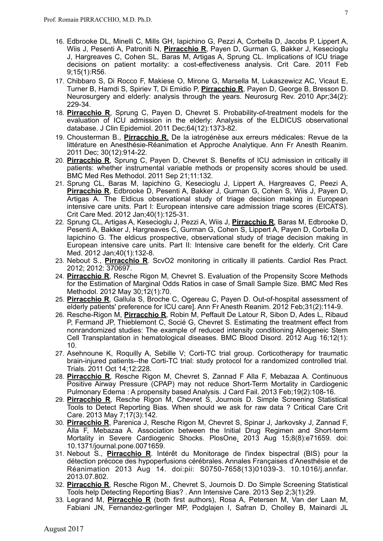- 16. Edbrooke DL, Minelli C, Mills GH, Iapichino G, Pezzi A, Corbella D, Jacobs P, Lippert A, Wiis J, Pesenti A, Patroniti N, **Pirracchio R**, Payen D, Gurman G, Bakker J, Kesecioglu J, Hargreaves C, Cohen SL, Baras M, Artigas A, Sprung CL. [Implications of ICU triage](http://www.ncbi.nlm.nih.gov/pubmed/21306645) [decisions on patient mortality: a cost-effectiveness analysis. Crit Care. 2011 Feb](http://www.ncbi.nlm.nih.gov/pubmed/21306645) 9;15(1):R56.
- 17. Chibbaro S, Di Rocco F, Makiese O, Mirone G, Marsella M, Lukaszewicz AC, Vicaut E, Turner B, Hamdi S, Spiriev T, Di Emidio P, **Pirracchio R**, Payen D, George B, Bresson D. [Neurosurgery and elderly: analysis through the years.](http://www.ncbi.nlm.nih.gov/pubmed/21301916) Neurosurg Rev. 2010 Apr;34(2): 229-34.
- 18. **Pirracchio R**, Sprung C, Payen D, Chevret S. Probability-of-treatment models for the evaluation of ICU admission in the elderly: Analysis of the ELDICUS observational database. J Clin Epidemiol. 2011 Dec;64(12):1373-82.
- 19. Chousterman B., **Pirracchio R**. De la iatrogénèse aux erreurs médicales: Revue de la littérature en Anesthésie-Réanimation et Approche Analytique. Ann Fr Anesth Reanim. 2011 Dec; 30(12):914-22.
- 20. **Pirracchio R**, Sprung C, Payen D, Chevret S. [Benefits of ICU admission in critically ill](http://www.ncbi.nlm.nih.gov/pubmed/21936926)  [patients: whether instrumental variable methods or propensity scores should be used.](http://www.ncbi.nlm.nih.gov/pubmed/21936926) BMC Med Res Methodol. 2011 Sep 21;11:132.
- 21. Sprung CL, Baras M, Iapichino G, Kesecioglu J, Lippert A, Hargreaves C, Peezi A, **Pirracchio R**, Edbrooke D, Pesenti A, Bakker J, Gurman G, Cohen S, Wiis J, Payen D, Artigas A. The Eldicus observational study of triage decision making in European intensive care units. Part I: European intensive care admission triage scores (EICATS). Crit Care Med. 2012 Jan;40(1):125-31.
- 22. Sprung CL, Artigas A, Kesecioglu J, Pezzi A, Wiis J, **Pirracchio R**, Baras M, Edbrooke D, Pesenti A, Bakker J, Hargreaves C, Gurman G, Cohen S, Lippert A, Payen D, Corbella D, Iapichino G. The eldicus prospective, observational study of triage decision making in European intensive care units. Part II: Intensive care benefit for the elderly. Crit Care Med. 2012 Jan;40(1):132-8.
- 23. Nebout S., **Pirracchio R**. ScvO2 monitoring in critically ill patients. Cardiol Res Pract. 2012; 2012: 370697.
- 24. **Pirracchio R**, Resche Rigon M, Chevret S. Evaluation of the Propensity Score Methods for the Estimation of Marginal Odds Ratios in case of Small Sample Size. BMC Med Res Methodol. 2012 May 30;12(1):70.
- 25. **Pirracchio R**, Gallula S, Broche C, Ogereau C, Payen D. [Out-of-hospital assessment of](http://www.ncbi.nlm.nih.gov/pubmed/22152996)  [elderly patients' preference for ICU care\].](http://www.ncbi.nlm.nih.gov/pubmed/22152996) Ann Fr Anesth Reanim. 2012 Feb;31(2):114-9.
- 26. Resche-Rigon M, **Pirracchio R**, Robin M, Peffault De Latour R, Sibon D, Ades L, Ribaud P, Fermand JP, Thieblemont C, Socié G, Chevret S. [Estimating the treatment effect from](http://www.ncbi.nlm.nih.gov/pubmed/22898556)  [nonrandomized studies: The example of reduced intensity conditioning Allogeneic Stem](http://www.ncbi.nlm.nih.gov/pubmed/22898556)  [Cell Transplantation in hematological diseases.](http://www.ncbi.nlm.nih.gov/pubmed/22898556) BMC Blood Disord. 2012 Aug 16;12(1): 10.
- 27. Asehnoune K, Roquilly A, Sebille V; Corti-TC trial group. [Corticotherapy for traumatic](http://www.ncbi.nlm.nih.gov/pubmed/21999663)  [brain-injured patients--the Corti-TC trial: study protocol for a randomized controlled trial.](http://www.ncbi.nlm.nih.gov/pubmed/21999663) Trials. 2011 Oct 14;12:228.
- 28. **Pirracchio R**, Resche Rigon M, Chevret S, Zannad F Alla F, Mebazaa A. Continuous Positive Airway Pressure (CPAP) may not reduce Short-Term Mortality in Cardiogenic Pulmonary Edema : A propensity based Analysis. J Card Fail. 2013 Feb;19(2):108-16.
- 29. **Pirracchio R**, Resche Rigon M, Chevret S, Journois D. Simple Screening Statistical Tools to Detect Reporting Bias. When should we ask for raw data ? Critical Care Crit Care. 2013 May 7;17(3):142.
- 30. **Pirracchio R**, Parenica J, Resche Rigon M, Chevret S, Spinar J, Jarkovsky J, Zannad F, Alla F, Mebazaa A. Association between the Initial Drug Regimen and Short-term Mortality in Severe Cardiogenic Shocks. PlosOne. 2013 Aug 15;8(8):e71659. doi: 10.1371/journal.pone.0071659.
- 31. Nebout S., **Pirracchio R**. Intérêt du Monitorage de l'index bispectral (BIS) pour la détection précoce des hypoperfusions cérébrales. Annales Françaises d'Anesthésie et de Réanimation 2013 Aug 14. doi:pii: S0750-7658(13)01039-3. 10.1016/j.annfar. 2013.07.802.
- 32. **Pirracchio R**, Resche Rigon M., Chevret S, Journois D. Do Simple Screening Statistical Tools help Detecting Reporting Bias? . Ann Intensive Care. 2013 Sep 2;3(1):29.
- 33. Legrand M, **Pirracchio R** (both first authors), Rosa A, Petersen M, Van der Laan M, Fabiani JN, Fernandez-gerlinger MP, Podglajen I, Safran D, Cholley B, Mainardi JL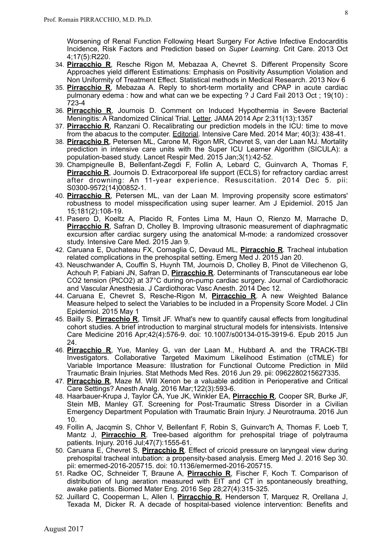Worsening of Renal Function Following Heart Surgery For Active Infective Endocarditis Incidence, Risk Factors and Prediction based on *Super Learning*. Crit Care. 2013 Oct 4;17(5):R220.

- 34. **Pirracchio R**, Resche Rigon M, Mebazaa A, Chevret S. Different Propensity Score Approaches yield different Estimations: Emphasis on Positivity Assumption Violation and Non Uniformity of Treatment Effect. Statistical methods in Medical Research. 2013 Nov 6
- 35. **Pirracchio R**, Mebazaa A. Reply to short-term mortality and CPAP in acute cardiac pulmonary edema : how and what can we be expecting ? J Card Fail 2013 Oct ; 19(10) : 723-4
- 36. **Pirracchio R**, Journois D. Comment on Induced Hypothermia in Severe Bacterial Meningitis: A Randomized Clinical Trial. Letter. JAMA 2014 Apr 2;311(13):1357
- 37. **Pirracchio R**, Ranzani O. Recalibrating our prediction models in the ICU: time to move from the abacus to the computer. Editorial. Intensive Care Med. 2014 Mar; 40(3): 438-41.
- 38. **Pirracchio R**, Petersen ML, Carone M, Rigon MR, Chevret S, van der Laan MJ. Mortality prediction in intensive care units with the Super ICU Learner Algorithm (SICULA): a population-based study. Lancet Respir Med. 2015 Jan;3(1):42-52.
- 39. Champigneulle B, Bellenfant-Zegdi F, Follin A, Lebard C, Guinvarch A, Thomas F, **Pirracchio R**, Journois D. Extracorporeal life support (ECLS) for refractory cardiac arrest after drowning: An 11-year experience. Resuscitation. 2014 Dec 5. pii: S0300-9572(14)00852-1.
- 40. **Pirracchio R**, Petersen ML, van der Laan M. Improving propensity score estimators' robustness to model misspecification using super learner. Am J Epidemiol. 2015 Jan 15;181(2):108-19.
- 41. Pasero D, Koeltz A, Placido R, Fontes Lima M, Haun O, Rienzo M, Marrache D, **Pirracchio R**, Safran D, Cholley B. Improving ultrasonic measurement of diaphragmatic excursion after cardiac surgery using the anatomical M-mode: a randomized crossover study. Intensive Care Med. 2015 Jan 9.
- 42. Caruana E, Duchateau FX, Cornaglia C, Devaud ML, **Pirracchio R**. Tracheal intubation related complications in the prehospital setting. Emerg Med J. 2015 Jan 20.
- 43. Neuschwander A, Couffin S, Huynh TM, Journois D, Cholley B, Pinot de Villechenon G, Achouh P, Fabiani JN, Safran D, **Pirracchio R**. Determinants of Transcutaneous ear lobe CO2 tension (PtCO2) at 37°C during on-pump cardiac surgery. Journal of Cardiothoracic and Vascular Anesthesia. J Cardiothorac Vasc Anesth. 2014 Dec 12.
- 44. Caruana E, Chevret S, Resche-Rigon M, **Pirracchio R**. A new Weighted Balance Measure helped to select the Variables to be included in a Propensity Score Model. J Clin Epidemiol. 2015 May 1
- 45. Bailly S, **Pirracchio R**, Timsit JF. What's new to quantify causal effects from longitudinal cohort studies. A brief introduction to marginal structural models for intensivists. Intensive Care Medicine 2016 Apr;42(4):576-9. doi: 10.1007/s00134-015-3919-6. Epub 2015 Jun 24.
- 46. **Pirracchio R**, Yue, Manley G, van der Laan M., Hubbard A. and the TRACK-TBI Investigators. Collaborative Targeted Maximum Likelihood Estimation (cTMLE) for Variable Importance Measure: Illustration for Functional Outcome Prediction in Mild Traumatic Brain Injuries. Stat Methods Med Res. 2016 Jun 29. pii: 0962280215627335.
- 47. **Pirracchio R**, Maze M. Will Xenon be a valuable addition in Perioperative and Critical Care Settings? Anesth Analg. 2016 Mar;122(3):593-6.
- 48. Haarbauer-Krupa J, Taylor CA, Yue JK, Winkler EA, **Pirracchio R**, Cooper SR, Burke JF, Stein MB, Manley GT. Screening for Post-Traumatic Stress Disorder in a Civilian Emergency Department Population with Traumatic Brain Injury. J Neurotrauma. 2016 Jun 10.
- 49. Follin A, Jacqmin S, Chhor V, Bellenfant F, Robin S, Guinvarc'h A, Thomas F, Loeb T, Mantz J, **Pirracchio R**. Tree-based algorithm for prehospital triage of polytrauma patients. Injury. 2016 Jul;47(7):1555-61.
- 50. Caruana E, Chevret S, **Pirracchio R**. Effect of cricoid pressure on laryngeal view during prehospital tracheal intubation: a propensity-based analysis. Emerg Med J. 2016 Sep 30. pii: emermed-2016-205715. doi: 10.1136/emermed-2016-205715.
- 51. Radke OC, Schneider T, Braune A, **Pirracchio R**, Fischer F, Koch T. Comparison of distribution of lung aeration measured with EIT and CT in spontaneously breathing, awake patients. Biomed Mater Eng. 2016 Sep 28;27(4):315-325.
- 52. Juillard C, Cooperman L, Allen I, **Pirracchio R**, Henderson T, Marquez R, Orellana J, Texada M, Dicker R. A decade of hospital-based violence intervention: Benefits and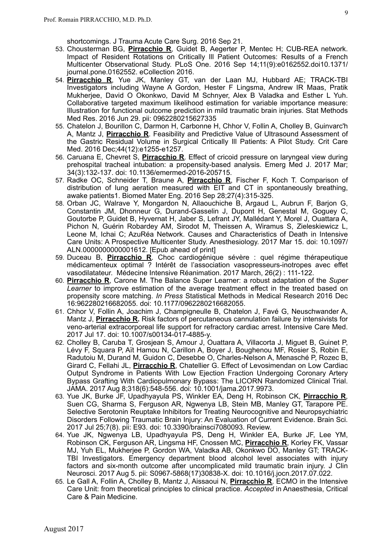shortcomings. J Trauma Acute Care Surg. 2016 Sep 21.

- 53. Chousterman BG, **Pirracchio R**, Guidet B, Aegerter P, Mentec H; CUB-REA network. Impact of Resident Rotations on Critically Ill Patient Outcomes: Results of a French Multicenter Observational Study. PLoS One. 2016 Sep 14;11(9):e0162552.doi10.1371/ journal.pone.0162552. eCollection 2016.
- 54. **Pirracchio R**, Yue JK, Manley GT, van der Laan MJ, Hubbard AE; TRACK-TBI Investigators including Wayne A Gordon, Hester F Lingsma, Andrew IR Maas, Pratik Mukherjee, David O Okonkwo, David M Schnyer, Alex B Valadka and Esther L Yuh. Collaborative targeted maximum likelihood estimation for variable importance measure: Illustration for functional outcome prediction in mild traumatic brain injuries. Stat Methods Med Res. 2016 Jun 29. pii: 0962280215627335
- 55. Chatelon J, Bourillon C, Darmon H, Carbonne H, Chhor V, Follin A, Cholley B, Guinvarc'h A, Mantz J, **Pirracchio R**. Feasibility and Predictive Value of Ultrasound Assessment of the Gastric Residual Volume in Surgical Critically Ill Patients: A Pilot Study. Crit Care Med. 2016 Dec;44(12):e1255-e1257.
- 56. Caruana E, Chevret S, **Pirracchio R**. Effect of cricoid pressure on laryngeal view during prehospital tracheal intubation: a propensity-based analysis. Emerg Med J. 2017 Mar; 34(3):132-137. doi: 10.1136/emermed-2016-205715.
- 57. Radke OC, Schneider T, Braune A, **Pirracchio R**, Fischer F, Koch T. Comparison of distribution of lung aeration measured with EIT and CT in spontaneously breathing, awake patients1. Biomed Mater Eng. 2016 Sep 28;27(4):315-325.
- 58. Orban JC, Walrave Y, Mongardon N, Allaouchiche B, Argaud L, Aubrun F, Barjon G, Constantin JM, Dhonneur G, Durand-Gasselin J, Dupont H, Genestal M, Goguey C, Goutorbe P, Guidet B, Hyvernat H, Jaber S, Lefrant JY, Mallédant Y, Morel J, Ouattara A, Pichon N, Guérin Robardey AM, Sirodot M, Theissen A, Wiramus S, Zieleskiewicz L, Leone M, Ichai C; AzuRéa Network. Causes and Characteristics of Death in Intensive Care Units: A Prospective Multicenter Study. Anesthesiology. 2017 Mar 15. doi: 10.1097/ ALN.0000000000001612. [Epub ahead of print]
- 59. Duceau B, **Pirracchio R**. Choc cardiogénique sévère : quel régime thérapeutique médicamenteux optimal ? Intérêt de l'association vasopresseurs-inotropes avec effet vasodilatateur. Médecine Intensive Réanimation. 2017 March, 26(2) : 111-122.
- 60. **Pirracchio R**, Carone M. The Balance Super Learner: a robust adaptation of the *Super Learner* to improve estimation of the average treatment effect in the treated based on propensity score matching. *In Press* Statistical Methods in Medical Research 2016 Dec 16:962280216682055. doi: 10.1177/0962280216682055.
- 61. Chhor V, Follin A, Joachim J, Champigneulle B, Chatelon J, Favé G, Neuschwander A, Mantz J, **Pirracchio R.** Risk factors of percutaneous cannulation failure by intensivists for veno-arterial extracorporeal life support for refractory cardiac arrest. Intensive Care Med. 2017 Jul 17. doi: 10.1007/s00134-017-4885-y.
- 62. Cholley B, Caruba T, Grosjean S, Amour J, Ouattara A, Villacorta J, Miguet B, Guinet P, Lévy F, Squara P, Aït Hamou N, Carillon A, Boyer J, Boughenou MF, Rosier S, Robin E, Radutoiu M, Durand M, Guidon C, Desebbe O, Charles-Nelson A, Menasché P, Rozec B, Girard C, Fellahi JL, **Pirracchio R**, Chatellier G. Effect of Levosimendan on Low Cardiac Output Syndrome in Patients With Low Ejection Fraction Undergoing Coronary Artery Bypass Grafting With Cardiopulmonary Bypass: The LICORN Randomized Clinical Trial. JAMA. 2017 Aug 8;318(6):548-556. doi: 10.1001/jama.2017.9973.
- 63. Yue JK, Burke JF, Upadhyayula PS, Winkler EA, Deng H, Robinson CK, **Pirracchio R**, Suen CG, Sharma S, Ferguson AR, Ngwenya LB, Stein MB, Manley GT, Tarapore PE. Selective Serotonin Reuptake Inhibitors for Treating Neurocognitive and Neuropsychiatric Disorders Following Traumatic Brain Injury: An Evaluation of Current Evidence. Brain Sci. 2017 Jul 25;7(8). pii: E93. doi: 10.3390/brainsci7080093. Review.
- 64. Yue JK, Ngwenya LB, Upadhyayula PS, Deng H, Winkler EA, Burke JF, Lee YM, Robinson CK, Ferguson AR, Lingsma HF, Cnossen MC, **Pirracchio R**, Korley FK, Vassar MJ, Yuh EL, Mukherjee P, Gordon WA, Valadka AB, Okonkwo DO, Manley GT; TRACK-TBI Investigators. Emergency department blood alcohol level associates with injury factors and six-month outcome after uncomplicated mild traumatic brain injury. J Clin Neurosci. 2017 Aug 5. pii: S0967-5868(17)30838-X. doi: 10.1016/j.jocn.2017.07.022.
- 65. Le Gall A, Follin A, Cholley B, Mantz J, Aissaoui N, **Pirracchio R**. ECMO in the Intensive Care Unit: from theoretical principles to clinical practice. *Accepted* in Anaesthesia, Critical Care & Pain Medicine.